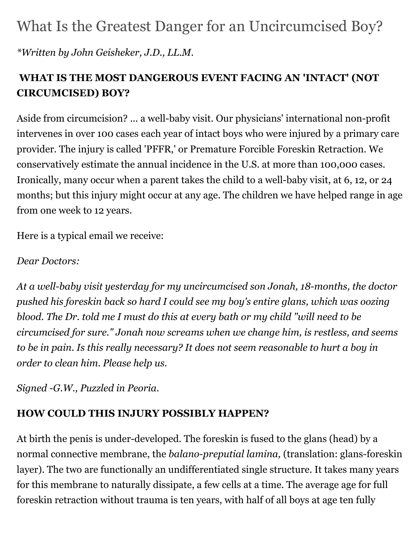# What Is the Greatest Danger for an Uncircumcised Boy?

*\*Written by John Geisheker, J.D., LL.M.*

# **WHAT IS THE MOST DANGEROUS EVENT FACING AN 'INTACT' (NOT CIRCUMCISED) BOY?**

Aside from circumcision? ... a well-baby visit. Our physicians' international non-profit intervenes in over 100 cases each year of intact boys who were injured by a primary care provider. The injury is called 'PFFR,' or Premature Forcible Foreskin Retraction. We conservatively estimate the annual incidence in the U.S. at more than 100,000 cases. Ironically, many occur when a parent takes the child to a well-baby visit, at 6, 12, or 24 months; but this injury might occur at any age. The children we have helped range in age from one week to 12 years.

Here is a typical email we receive:

#### *Dear Doctors:*

*At a well-baby visit yesterday for my uncircumcised son Jonah, 18-months, the doctor pushed his foreskin back so hard I could see my boy's entire glans, which was oozing blood. The Dr. told me I must do this at every bath or my child "will need to be circumcised for sure." Jonah now screams when we change him, is restless, and seems to be in pain. Is this really necessary? It does not seem reasonable to hurt a boy in order to clean him. Please help us.*

*Signed -G.W., Puzzled in Peoria.*

#### **HOW COULD THIS INJURY POSSIBLY HAPPEN?**

At birth the penis is under-developed. The foreskin is fused to the glans (head) by a normal connective membrane, the *balano-preputial lamina,* (translation: glans-foreskin layer). The two are functionally an undifferentiated single structure. It takes many years for this membrane to naturally dissipate, a few cells at a time. The average age for full foreskin retraction without trauma is ten years, with half of all boys at age ten fully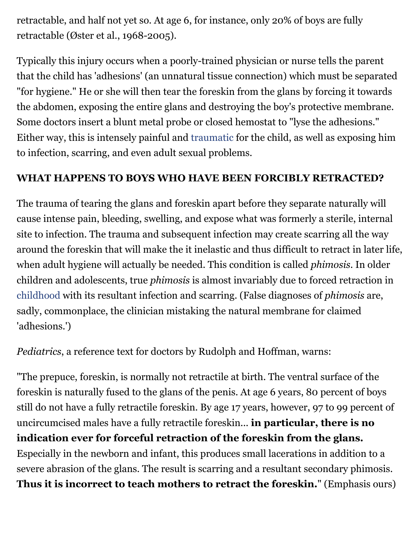retractable, and half not yet so. At age 6, for instance, only 20% of boys are fully retractable (Øster et al., 1968-2005).

Typically this injury occurs when a poorly-trained physician or nurse tells the parent that the child has 'adhesions' (an unnatural tissue connection) which must be separated "for hygiene." He or she will then tear the foreskin from the glans by forcing it towards the abdomen, exposing the entire glans and destroying the boy's protective membrane. Some doctors insert a blunt metal probe or closed hemostat to "lyse the adhesions." Either way, this is intensely painful and [traumatic](https://www.psychologytoday.com/basics/trauma) for the child, as well as exposing him to infection, scarring, and even adult sexual problems.

### **WHAT HAPPENS TO BOYS WHO HAVE BEEN FORCIBLY RETRACTED?**

The trauma of tearing the glans and foreskin apart before they separate naturally will cause intense pain, bleeding, swelling, and expose what was formerly a sterile, internal site to infection. The trauma and subsequent infection may create scarring all the way around the foreskin that will make the it inelastic and thus difficult to retract in later life, when adult hygiene will actually be needed. This condition is called *phimosis*. In older children and adolescents, true *phimosis* is almost invariably due to forced retraction in [childhood](https://www.psychologytoday.com/basics/child-development) with its resultant infection and scarring. (False diagnoses of *phimosis* are, sadly, commonplace, the clinician mistaking the natural membrane for claimed 'adhesions.')

*Pediatrics*, a reference text for doctors by Rudolph and Hoffman, warns:

"The prepuce, foreskin, is normally not retractile at birth. The ventral surface of the foreskin is naturally fused to the glans of the penis. At age 6 years, 80 percent of boys still do not have a fully retractile foreskin. By age 17 years, however, 97 to 99 percent of uncircumcised males have a fully retractile foreskin... **in particular, there is no indication ever for forceful retraction of the foreskin from the glans.** Especially in the newborn and infant, this produces small lacerations in addition to a severe abrasion of the glans. The result is scarring and a resultant secondary phimosis. **Thus it is incorrect to teach mothers to retract the foreskin.**" (Emphasis ours)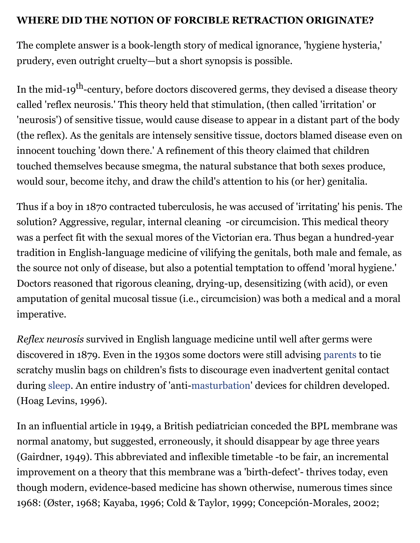#### **WHERE DID THE NOTION OF FORCIBLE RETRACTION ORIGINATE?**

The complete answer is a book-length story of medical ignorance, 'hygiene hysteria,' prudery, even outright cruelty—but a short synopsis is possible.

In the mid-19<sup>th</sup>-century, before doctors discovered germs, they devised a disease theory called 'reflex neurosis.' This theory held that stimulation, (then called 'irritation' or 'neurosis') of sensitive tissue, would cause disease to appear in a distant part of the body (the reflex). As the genitals are intensely sensitive tissue, doctors blamed disease even on innocent touching 'down there.' A refinement of this theory claimed that children touched themselves because smegma, the natural substance that both sexes produce, would sour, become itchy, and draw the child's attention to his (or her) genitalia.

Thus if a boy in 1870 contracted tuberculosis, he was accused of 'irritating' his penis. The solution? Aggressive, regular, internal cleaning -or circumcision. This medical theory was a perfect fit with the sexual mores of the Victorian era. Thus began a hundred-year tradition in English-language medicine of vilifying the genitals, both male and female, as the source not only of disease, but also a potential temptation to offend 'moral hygiene.' Doctors reasoned that rigorous cleaning, drying-up, desensitizing (with acid), or even amputation of genital mucosal tissue (i.e., circumcision) was both a medical and a moral imperative.

*Reflex neurosis* survived in English language medicine until well after germs were discovered in 1879. Even in the 1930s some doctors were still advising [parents](https://www.psychologytoday.com/basics/parenting) to tie scratchy muslin bags on children's fists to discourage even inadvertent genital contact during [sleep.](https://www.psychologytoday.com/basics/sleep) An entire industry of 'anti[-masturbation](https://www.psychologytoday.com/basics/masturbation)' devices for children developed. (Hoag Levins, 1996).

In an influential article in 1949, a British pediatrician conceded the BPL membrane was normal anatomy, but suggested, erroneously, it should disappear by age three years (Gairdner, 1949). This abbreviated and inflexible timetable -to be fair, an incremental improvement on a theory that this membrane was a 'birth-defect'- thrives today, even though modern, evidence-based medicine has shown otherwise, numerous times since 1968: (Øster, 1968; Kayaba, 1996; Cold & Taylor, 1999; Concepción-Morales, 2002;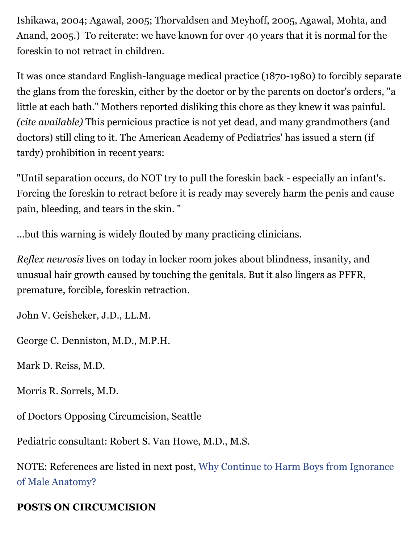Ishikawa, 2004; Agawal, 2005; Thorvaldsen and Meyhoff, 2005, Agawal, Mohta, and Anand, 2005.) To reiterate: we have known for over 40 years that it is normal for the foreskin to not retract in children.

It was once standard English-language medical practice (1870-1980) to forcibly separate the glans from the foreskin, either by the doctor or by the parents on doctor's orders, "a little at each bath." Mothers reported disliking this chore as they knew it was painful. *(cite available)* This pernicious practice is not yet dead, and many grandmothers (and doctors) still cling to it. The American Academy of Pediatrics' has issued a stern (if tardy) prohibition in recent years:

"Until separation occurs, do NOT try to pull the foreskin back - especially an infant's. Forcing the foreskin to retract before it is ready may severely harm the penis and cause pain, bleeding, and tears in the skin. "

...but this warning is widely flouted by many practicing clinicians.

*Reflex neurosis* lives on today in locker room jokes about blindness, insanity, and unusual hair growth caused by touching the genitals. But it also lingers as PFFR, premature, forcible, foreskin retraction.

John V. Geisheker, J.D., LL.M.

George C. Denniston, M.D., M.P.H.

Mark D. Reiss, M.D.

Morris R. Sorrels, M.D.

of Doctors Opposing Circumcision, Seattle

Pediatric consultant: Robert S. Van Howe, M.D., M.S.

[NOTE: References are listed in next post, Why Continue to Harm Boys from Ignorance](https://cdn.psychologytoday.com/blog/moral-landscapes/201110/why-continue-harm-boys-ignorance-male-anatomy) of Male Anatomy?

## **POSTS ON CIRCUMCISION**